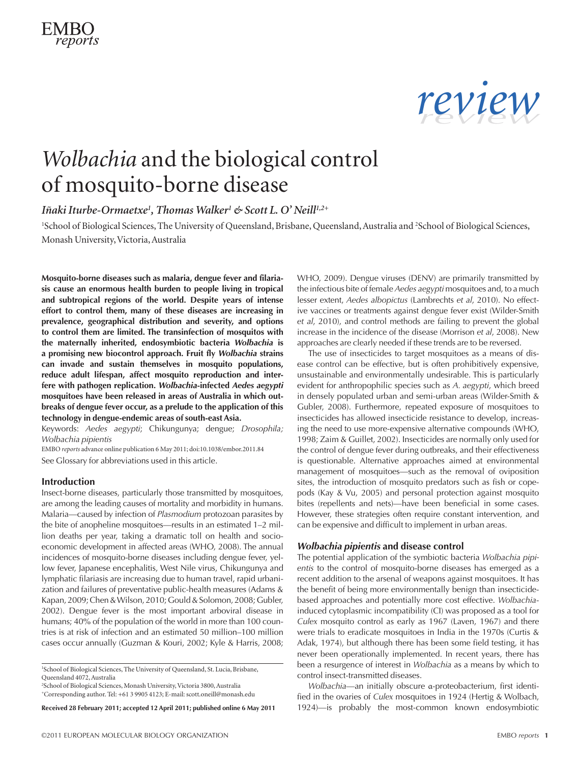



## *Wolbachia* and the biological control of mosquito-borne disease

## *IñakiIturbe-Ormaetxe1 , Thomas Walker1 & Scott L. O' Neill1,2+*

<sup>1</sup>School of Biological Sciences, The University of Queensland, Brisbane, Queensland, Australia and <sup>2</sup>School of Biological Sciences, Monash University, Victoria, Australia

**Mosquito-borne diseases such as malaria, dengue fever and filariasis cause an enormous health burden to people living in tropical and subtropical regions of the world. Despite years of intense effort to control them, many of these diseases are increasing in prevalence, geographical distribution and severity, and options to control them are limited. The transinfection of mosquitos with the maternally inherited, endosymbiotic bacteria** *Wolbachia* **is a promising new biocontrol approach. Fruit fly** *Wolbachia* **strains can invade and sustain themselves in mosquito populations, reduce adult lifespan, affect mosquito reproduction and interfere with pathogen replication.** *Wolbachia***-infected** *Aedes aegypti* **mosquitoes have been released in areas of Australia in which outbreaks of dengue fever occur, as a prelude to the application of this technology in dengue-endemic areas of south-east Asia.**

Keywords: *Aedes aegypti*; Chikungunya; dengue; *Drosophila; Wolbachia pipientis*

EMBO *reports* advance online publication 6 May 2011; [doi:10.1038/embor.2011.84](http://www.nature.com/doifinder/10.1038/embor.2011.84) See Glossary for abbreviations used in this article.

### **Introduction**

Insect-borne diseases, particularly those transmitted by mosquitoes, are among the leading causes of mortality and morbidity in humans. Malaria—caused by infection of *Plasmodium* protozoan parasites by the bite of anopheline mosquitoes—results in an estimated 1–2 million deaths per year, taking a dramatic toll on health and socioeconomic development in affected areas (WHO, 2008). The annual incidences of mosquito-borne diseases including dengue fever, yellow fever, Japanese encephalitis, West Nile virus, Chikungunya and lymphatic filariasis are increasing due to human travel, rapid urbanization and failures of preventative public-health measures (Adams & Kapan, 2009; Chen & Wilson, 2010; Gould & Solomon, 2008; Gubler, 2002). Dengue fever is the most important arboviral disease in humans; 40% of the population of the world in more than 100 countries is at risk of infection and an estimated 50 million–100 million cases occur annually (Guzman & Kouri, 2002; Kyle & Harris, 2008;

2 School of Biological Sciences, Monash University, Victoria 3800, Australia +Corresponding author. Tel: +61 3 9905 4123; E-mail: [scott.oneill@monash.edu](mailto:scott.oneill@monash.edu)

**Received 28 February 2011; accepted 12 April 2011; published online 6 May 2011**

WHO, 2009). Dengue viruses (DENV) are primarily transmitted by the infectious bite of female *Aedes aegypti* mosquitoes and, to a much lesser extent, *Aedes albopictus* (Lambrechts *et al*, 2010). No effective vaccines or treatments against dengue fever exist (Wilder-Smith *et al*, 2010), and control methods are failing to prevent the global increase in the incidence of the disease (Morrison *et al*, 2008). New approaches are clearly needed if these trends are to be reversed.

The use of insecticides to target mosquitoes as a means of disease control can be effective, but is often prohibitively expensive, unsustainable and environmentally undesirable. This is particularly evident for anthropophilic species such as *A. aegypti*, which breed in densely populated urban and semi-urban areas (Wilder-Smith & Gubler, 2008). Furthermore, repeated exposure of mosquitoes to insecticides has allowed insecticide resistance to develop, increasing the need to use more-expensive alternative compounds (WHO, 1998; Zaim & Guillet, 2002). Insecticides are normally only used for the control of dengue fever during outbreaks, and their effectiveness is questionable. Alternative approaches aimed at environmental management of mosquitoes—such as the removal of oviposition sites, the introduction of mosquito predators such as fish or copepods (Kay & Vu, 2005) and personal protection against mosquito bites (repellents and nets)—have been beneficial in some cases. However, these strategies often require constant intervention, and can be expensive and difficult to implement in urban areas.

### *Wolbachia pipientis* **and disease control**

The potential application of the symbiotic bacteria *Wolbachia pipientis* to the control of mosquito-borne diseases has emerged as a recent addition to the arsenal of weapons against mosquitoes. It has the benefit of being more environmentally benign than insecticidebased approaches and potentially more cost effective. *Wolbachia*induced cytoplasmic incompatibility (CI) was proposed as a tool for *Culex* mosquito control as early as 1967 (Laven, 1967) and there were trials to eradicate mosquitoes in India in the 1970s (Curtis & Adak, 1974), but although there has been some field testing, it has never been operationally implemented. In recent years, there has been a resurgence of interest in *Wolbachia* as a means by which to control insect-transmitted diseases.

*Wolbachia*—an initially obscure α-proteobacterium, first identified in the ovaries of *Culex* mosquitoes in 1924 (Hertig & Wolbach, 1924)—is probably the most-common known endosymbiotic

<sup>&</sup>lt;sup>1</sup>School of Biological Sciences, The University of Queensland, St. Lucia, Brisbane, Queensland 4072, Australia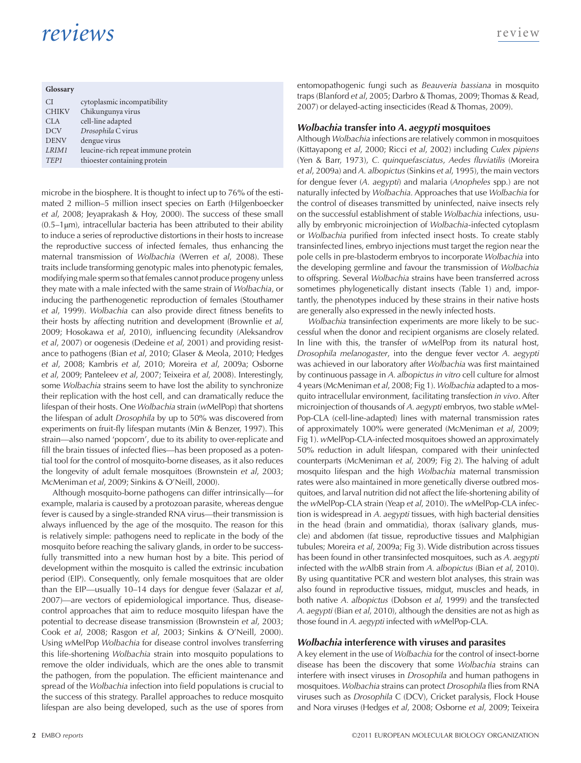| Glossary         |                                    |  |  |
|------------------|------------------------------------|--|--|
| CI.              | cytoplasmic incompatibility        |  |  |
| <b>CHIKV</b>     | Chikungunya virus                  |  |  |
| CLA              | cell-line adapted                  |  |  |
| <b>DCV</b>       | Drosophila C virus                 |  |  |
| <b>DENV</b>      | dengue virus                       |  |  |
| LRIM1            | leucine-rich repeat immune protein |  |  |
| TEP <sub>1</sub> | thioester containing protein       |  |  |

microbe in the biosphere. It is thought to infect up to 76% of the estimated 2 million–5 million insect species on Earth (Hilgenboecker *et al*, 2008; Jeyaprakash & Hoy, 2000). The success of these small  $(0.5-1µm)$ , intracellular bacteria has been attributed to their ability to induce a series of reproductive distortions in their hosts to increase the reproductive success of infected females, thus enhancing the maternal transmission of *Wolbachia* (Werren *et al*, 2008). These traits include transforming genotypic males into phenotypic females, modifying male sperm so that females cannot produce progeny unless they mate with a male infected with the same strain of *Wolbachia*, or inducing the parthenogenetic reproduction of females (Stouthamer *et al*, 1999). *Wolbachia* can also provide direct fitness benefits to their hosts by affecting nutrition and development (Brownlie *et al*, 2009; Hosokawa *et al*, 2010), influencing fecundity (Aleksandrov *et al*, 2007) or oogenesis (Dedeine *et al*, 2001) and providing resistance to pathogens (Bian *et al*, 2010; Glaser & Meola, 2010; Hedges *et al*, 2008; Kambris *et al*, 2010; Moreira *et al*, 2009a; Osborne *et al*, 2009; Panteleev *et al*, 2007; Teixeira *et al*, 2008). Interestingly, some *Wolbachia* strains seem to have lost the ability to synchronize their replication with the host cell, and can dramatically reduce the lifespan of their hosts. One *Wolbachia* strain (*w*MelPop) that shortens the lifespan of adult *Drosophila* by up to 50% was discovered from experiments on fruit-fly lifespan mutants (Min & Benzer, 1997). This strain—also named 'popcorn', due to its ability to over-replicate and fill the brain tissues of infected flies—has been proposed as a potential tool for the control of mosquito-borne diseases, as it also reduces the longevity of adult female mosquitoes (Brownstein *et al*, 2003; McMeniman *et al*, 2009; Sinkins & O'Neill, 2000).

Although mosquito-borne pathogens can differ intrinsically—for example, malaria is caused by a protozoan parasite, whereas dengue fever is caused by a single-stranded RNA virus—their transmission is always influenced by the age of the mosquito. The reason for this is relatively simple: pathogens need to replicate in the body of the mosquito before reaching the salivary glands, in order to be successfully transmitted into a new human host by a bite. This period of development within the mosquito is called the extrinsic incubation period (EIP). Consequently, only female mosquitoes that are older than the EIP—usually 10–14 days for dengue fever (Salazar *et al*, 2007)—are vectors of epidemiological importance. Thus, diseasecontrol approaches that aim to reduce mosquito lifespan have the potential to decrease disease transmission (Brownstein *et al*, 2003; Cook *et al*, 2008; Rasgon *et al*, 2003; Sinkins & O'Neill, 2000). Using *w*MelPop *Wolbachia* for disease control involves transferring this life-shortening *Wolbachia* strain into mosquito populations to remove the older individuals, which are the ones able to transmit the pathogen, from the population. The efficient maintenance and spread of the *Wolbachia* infection into field populations is crucial to the success of this strategy. Parallel approaches to reduce mosquito lifespan are also being developed, such as the use of spores from

entomopathogenic fungi such as *Beauveria bassiana* in mosquito traps (Blanford *et al*, 2005; Darbro & Thomas, 2009; Thomas & Read, 2007) or delayed-acting insecticides (Read & Thomas, 2009).

### *Wolbachia* **transfer into** *A. aegypti* **mosquitoes**

Although *Wolbachia* infections are relatively common in mosquitoes (Kittayapong *et al*, 2000; Ricci *et al*, 2002) including *Culex pipiens*  (Yen & Barr, 1973), *C. quinquefasciatus*, *Aedes fluviatilis* (Moreira *et al*, 2009a) and *A. albopictus* (Sinkins *et al*, 1995), the main vectors for dengue fever (*A. aegypti*) and malaria (*Anopheles* spp*.*) are not naturally infected by *Wolbachia.* Approaches that use *Wolbachia* for the control of diseases transmitted by uninfected, naive insects rely on the successful establishment of stable *Wolbachia* infections, usually by embryonic microinjection of *Wolbachia*-infected cytoplasm or *Wolbachia* purified from infected insect hosts. To create stably transinfected lines, embryo injections must target the region near the pole cells in pre-blastoderm embryos to incorporate *Wolbachia* into the developing germline and favour the transmission of *Wolbachia* to offspring. Several *Wolbachia* strains have been transferred across sometimes phylogenetically distant insects (Table 1) and, importantly, the phenotypes induced by these strains in their native hosts are generally also expressed in the newly infected hosts.

*Wolbachia* transinfection experiments are more likely to be successful when the donor and recipient organisms are closely related. In line with this, the transfer of *w*MelPop from its natural host, *Drosophila melanogaster*, into the dengue fever vector *A. aegypti* was achieved in our laboratory after *Wolbachia* was first maintained by continuous passage in *A. albopictus in vitro* cell culture for almost 4 years (McMeniman *et al*, 2008; Fig 1). *Wolbachia* adapted to a mosquito intracellular environment, facilitating transfection *in vivo*. After microinjection of thousands of *A. aegypti* embryos, two stable *w*Mel-Pop-CLA (cell-line-adapted) lines with maternal transmission rates of approximately 100% were generated (McMeniman *et al*, 2009; Fig 1). *w*MelPop-CLA-infected mosquitoes showed an approximately 50% reduction in adult lifespan, compared with their uninfected counterparts (McMeniman *et al*, 2009; Fig 2). The halving of adult mosquito lifespan and the high *Wolbachia* maternal transmission rates were also maintained in more genetically diverse outbred mosquitoes, and larval nutrition did not affect the life-shortening ability of the *w*MelPop-CLA strain (Yeap *et al*, 2010). The *w*MelPop-CLA infection is widespread in *A. aegypti* tissues, with high bacterial densities in the head (brain and ommatidia), thorax (salivary glands, muscle) and abdomen (fat tissue, reproductive tissues and Malphigian tubules; Moreira *et al*, 2009a; Fig 3). Wide distribution across tissues has been found in other transinfected mosquitoes, such as *A. aegypti* infected with the *w*AlbB strain from *A. albopictus* (Bian *et al*, 2010). By using quantitative PCR and western blot analyses, this strain was also found in reproductive tissues, midgut, muscles and heads, in both native *A. albopictus* (Dobson *et al*, 1999) and the transfected *A. aegypti* (Bian *et al*, 2010), although the densities are not as high as those found in *A. aegypti* infected with *w*MelPop-CLA.

### *Wolbachia* **interference with viruses and parasites**

A key element in the use of *Wolbachia* for the control of insect-borne disease has been the discovery that some *Wolbachia* strains can interfere with insect viruses in *Drosophila* and human pathogens in mosquitoes. *Wolbachia* strains can protect *Drosophila* flies from RNA viruses such as *Drosophila* C (DCV), Cricket paralysis, Flock House and Nora viruses (Hedges *et al*, 2008; Osborne *et al*, 2009; Teixeira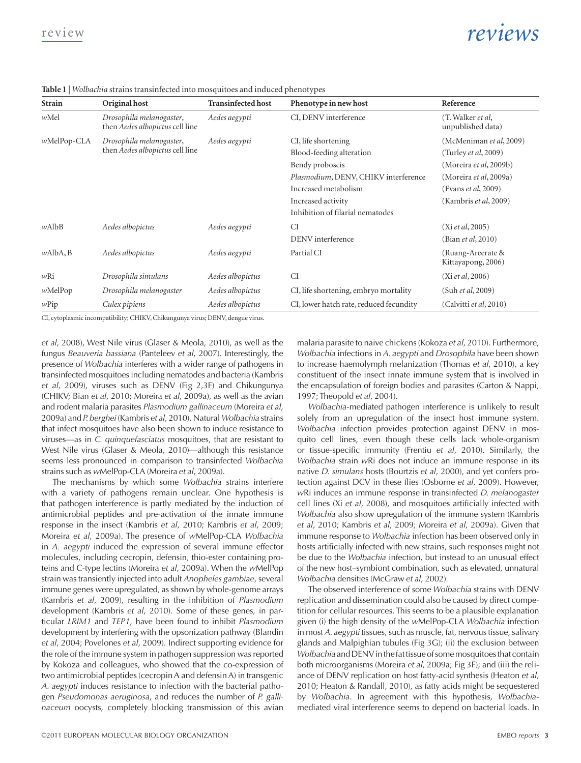**Table 1** | *Wolbachia* strains transinfected into mosquitoes and induced phenotypes

| Strain      | Original host                                               | <b>Transinfected host</b> | Phenotype in new host                   | Reference                               |
|-------------|-------------------------------------------------------------|---------------------------|-----------------------------------------|-----------------------------------------|
| wMel        | Drosophila melanogaster,<br>then Aedes albopictus cell line | Aedes aegypti             | CI, DENV interference                   | (T. Walker et al,<br>unpublished data)  |
| wMelPop-CLA | Drosophila melanogaster,<br>then Aedes albopictus cell line | Aedes aegypti             | CI, life shortening                     | (McMeniman et al, 2009)                 |
|             |                                                             |                           | Blood-feeding alteration                | (Turley et al, 2009)                    |
|             |                                                             |                           | Bendy proboscis                         | (Moreira et al, 2009b)                  |
|             |                                                             |                           | Plasmodium, DENV, CHIKV interference    | (Moreira et al, 2009a)                  |
|             |                                                             |                           | Increased metabolism                    | (Evans et al, 2009)                     |
|             |                                                             |                           | Increased activity                      | (Kambris et al, 2009)                   |
|             |                                                             |                           | Inhibition of filarial nematodes        |                                         |
| wAlbB       | Aedes albopictus                                            | Aedes aegypti             | CI                                      | (Xi et al, 2005)                        |
|             |                                                             |                           | DENV interference                       | (Bian et al, 2010)                      |
| wAlbA, B    | Aedes albopictus                                            | Aedes aegypti             | Partial CI                              | (Ruang-Areerate &<br>Kittayapong, 2006) |
| $w$ Ri      | Drosophila simulans                                         | Aedes albopictus          | <b>CI</b>                               | (Xi et al, 2006)                        |
| wMelPop     | Drosophila melanogaster                                     | Aedes albopictus          | CI, life shortening, embryo mortality   | (Suh et al, 2009)                       |
| $w$ Pip     | Culex pipiens                                               | Aedes albopictus          | CI, lower hatch rate, reduced fecundity | (Calvitti et al, 2010)                  |

CI, cytoplasmic incompatibility; CHIKV, Chikungunya virus; DENV, dengue virus.

*et al*, 2008), West Nile virus (Glaser & Meola, 2010), as well as the fungus *Beauveria bassiana* (Panteleev *et al*, 2007). Interestingly, the presence of *Wolbachia* interferes with a wider range of pathogens in transinfected mosquitoes including nematodes and bacteria (Kambris *et al*, 2009), viruses such as DENV (Fig 2,3F) and Chikungunya (CHIKV; Bian *et al*, 2010; Moreira *et al*, 2009a), as well as the avian and rodent malaria parasites *Plasmodium gallinaceum* (Moreira *et al*, 2009a) and *P.berghei* (Kambris *et al*, 2010). Natural *Wolbachia* strains that infect mosquitoes have also been shown to induce resistance to viruses—as in *C. quinquefasciatus* mosquitoes, that are resistant to West Nile virus (Glaser & Meola, 2010)—although this resistance seems less pronounced in comparison to transinfected *Wolbachia* strains such as *w*MelPop-CLA (Moreira *et al*, 2009a).

The mechanisms by which some *Wolbachia* strains interfere with a variety of pathogens remain unclear. One hypothesis is that pathogen interference is partly mediated by the induction of antimicrobial peptides and pre-activation of the innate immune response in the insect (Kambris *et al*, 2010; Kambris *et al*, 2009; Moreira *et al*, 2009a). The presence of *w*MelPop-CLA *Wolbachia* in *A. aegypti* induced the expression of several immune effector molecules, including cecropin, defensin, thio-ester containing proteins and C‑type lectins (Moreira *et al*, 2009a). When the *w*MelPop strain was transiently injected into adult *Anopheles gambiae*, several immune genes were upregulated, as shown by whole-genome arrays (Kambris *et al*, 2009), resulting in the inhibition of *Plasmodium* development (Kambris *et al*, 2010). Some of these genes, in particular *LRIM1* and *TEP1*, have been found to inhibit *Plasmodium* development by interfering with the opsonization pathway (Blandin *et al*, 2004; Povelones *et al*, 2009). Indirect supporting evidence for the role of the immune system in pathogen suppression was reported by Kokoza and colleagues, who showed that the co-expression of two antimicrobial peptides (cecropin A and defensin A) in transgenic *A. aegypti* induces resistance to infection with the bacterial pathogen *Pseudomonas aeruginosa*, and reduces the number of *P. gallinaceum* oocysts, completely blocking transmission of this avian malaria parasite to naive chickens (Kokoza *et al*, 2010). Furthermore, *Wolbachia* infections in *A. aegypti* and *Drosophila* have been shown to increase haemolymph melanization (Thomas *et al*, 2010), a key constituent of the insect innate immune system that is involved in the encapsulation of foreign bodies and parasites (Carton & Nappi, 1997; Theopold *et al*, 2004).

*Wolbachia*-mediated pathogen interference is unlikely to result solely from an upregulation of the insect host immune system. *Wolbachia* infection provides protection against DENV in mosquito cell lines, even though these cells lack whole-organism or tissue-specific immunity (Frentiu *et al*, 2010). Similarly, the *Wolbachia* strain *w*Ri does not induce an immune response in its native *D. simulans* hosts (Bourtzis *et al*, 2000), and yet confers protection against DCV in these flies (Osborne *et al*, 2009). However, *w*Ri induces an immune response in transinfected *D. melanogaster* cell lines (Xi *et al*, 2008), and mosquitoes artificially infected with *Wolbachia* also show upregulation of the immune system (Kambris *et al*, 2010; Kambris *et al*, 2009; Moreira *et al*, 2009a). Given that immune response to *Wolbachia* infection has been observed only in hosts artificially infected with new strains, such responses might not be due to the *Wolbachia* infection, but instead to an unusual effect of the new host–symbiont combination, such as elevated, unnatural *Wolbachia* densities (McGraw *et al*, 2002)*.*

The observed interference of some *Wolbachia* strains with DENV replication and dissemination could also be caused by direct competition for cellular resources. This seems to be a plausible explanation given (i) the high density of the *w*MelPop-CLA *Wolbachia* infection in most *A. aegypti* tissues, such as muscle, fat, nervous tissue, salivary glands and Malpighian tubules (Fig 3G); (ii) the exclusion between *Wolbachia* and DENV in the fat tissue of some mosquitoes that contain both microorganisms (Moreira *et al*, 2009a; Fig 3F); and (iii) the reliance of DENV replication on host fatty-acid synthesis (Heaton *et al*, 2010; Heaton & Randall, 2010), as fatty acids might be sequestered by *Wolbachia*. In agreement with this hypothesis, *Wolbachia*mediated viral interference seems to depend on bacterial loads. In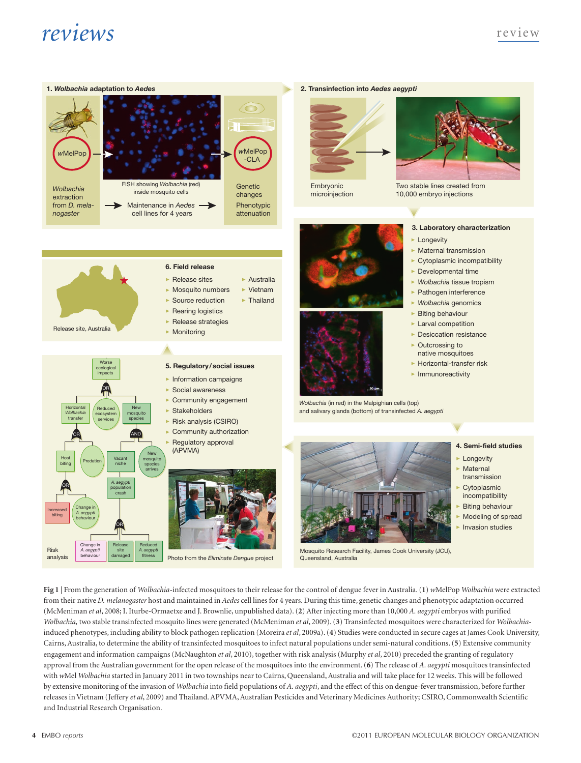

#### **5. Regulatory/social issues 6. Field release** ▶ Information campaigns <br>
▶ Information campaigns ▶ Social awareness ▶ Community engagement  $\blacktriangleright$  Stakeholders Risk analysis (CSIRO) Community authorization **Regulatory approval**  (APVMA) Release site, Australia ▶ Release sites Mosquito numbers Source reduction ▶ Rearing logistics ▶ Release strategies  $\blacktriangleright$  Monitoring ▶ Australia  $\blacktriangleright$  Vietnam ▶ Thailand Worse ecological impacts Horizontal *Wolbachia* transfer Host biting Increased biting Change in *A. aegypti* behaviour Predation **Vacant** niche New mosquito species arrives *A. aegypti* population crash Reduced ecosystem services New mosquito species OR OR AND OR OR

Embryonic microinjection

**2. Transinfection into** *Aedes aegypti*



*Wolbachia* (in red) in the Malpighian cells (top) and salivary glands (bottom) of transinfected *A. aegypti*



Mosquito Research Facility, James Cook University (JCU), Queensland, Australia

**4. Semi-field studies**

**Longevity Maternal** 

**3. Laboratory characterization**

▶ Maternal transmission ▶ Cytoplasmic incompatibility  $\blacktriangleright$  Developmental time ▶ *Wolbachia* tissue tropism ▶ Pathogen interference ▶ *Wolbachia* genomics  $\blacktriangleright$  Biting behaviour ▶ Larval competition ▶ Desiccation resistance ▶ Outcrossing to native mosquitoes ▶ Horizontal-transfer risk

Two stable lines created from 10,000 embryo injections

▶ Longevity

- transmission
- Cytoplasmic
- incompatibility **Biting behaviour**
- Modeling of spread
- **Invasion studies**

**Fig 1** | From the generation of *Wolbachia*-infected mosquitoes to their release for the control of dengue fever in Australia. (**1**) *w*MelPop *Wolbachia* were extracted from their native *D. melanogaster* host and maintained in *Aedes* cell lines for 4 years. During this time, genetic changes and phenotypic adaptation occurred (McMeniman *et al*, 2008; I. Iturbe-Ormaetxe and J. Brownlie, unpublished data). (**2**) After injecting more than 10,000 *A. aegypti* embryos with purified *Wolbachia,* two stable transinfected mosquito lines were generated (McMeniman *et al*, 2009). (**3**) Transinfected mosquitoes were characterized for *Wolbachia*induced phenotypes, including ability to block pathogen replication (Moreira *et al*, 2009a). (**4**) Studies were conducted in secure cages at James Cook University, Cairns, Australia, to determine the ability of transinfected mosquitoes to infect natural populations under semi-natural conditions. (**5**) Extensive community engagement and information campaigns (McNaughton *et al*, 2010), together with risk analysis (Murphy *et al*, 2010) preceded the granting of regulatory approval from the Australian government for the open release of the mosquitoes into the environment. (**6**) The release of *A. aegypti* mosquitoes transinfected with *w*Mel *Wolbachia* started in January 2011 in two townships near to Cairns, Queensland, Australia and will take place for 12 weeks. This will be followed by extensive monitoring of the invasion of *Wolbachia* into field populations of *A. aegypti*, and the effect of this on dengue-fever transmission, before further releases in Vietnam (Jeffery *et al*, 2009) and Thailand. APVMA, Australian Pesticides and Veterinary Medicines Authority; CSIRO, Commonwealth Scientific and Industrial Research Organisation.

Photo from the *Eliminate Dengue* project

Change in *A. aegypti* behaviour

Risk analys

Release site damaged

Reduced *A. aegypti* fitness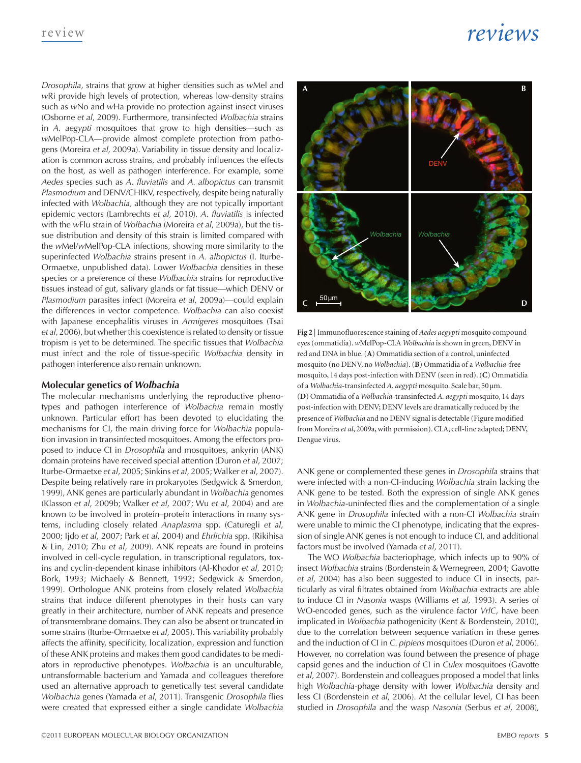*Drosophila*, strains that grow at higher densities such as *w*Mel and *w*Ri provide high levels of protection, whereas low-density strains such as *w*No and *w*Ha provide no protection against insect viruses (Osborne *et al*, 2009). Furthermore, transinfected *Wolbachia* strains in *A. aegypti* mosquitoes that grow to high densities—such as *w*MelPop-CLA—provide almost complete protection from pathogens (Moreira *et al*, 2009a). Variability in tissue density and localization is common across strains, and probably influences the effects on the host, as well as pathogen interference. For example, some *Aedes* species such as *A*. *fluviatilis* and *A. albopictus* can transmit *Plasmodium* and DENV/CHIKV, respectively, despite being naturally infected with *Wolbachia,* although they are not typically important epidemic vectors (Lambrechts *et al*, 2010)*. A. fluviatilis* is infected with the *w*Flu strain of *Wolbachia* (Moreira *et al*, 2009a), but the tissue distribution and density of this strain is limited compared with the *w*Mel/*w*MelPop-CLA infections, showing more similarity to the superinfected *Wolbachia* strains present in *A. albopictus* (I. Iturbe-Ormaetxe, unpublished data). Lower *Wolbachia* densities in these species or a preference of these *Wolbachia* strains for reproductive tissues instead of gut, salivary glands or fat tissue—which DENV or *Plasmodium* parasites infect (Moreira *et al*, 2009a)—could explain the differences in vector competence. *Wolbachia* can also coexist with Japanese encephalitis viruses in *Armigeres* mosquitoes (Tsai *et al*, 2006), but whether this coexistence is related to density or tissue tropism is yet to be determined. The specific tissues that *Wolbachia* must infect and the role of tissue-specific *Wolbachia* density in pathogen interference also remain unknown.

### **Molecular genetics of** *Wolbachia*

The molecular mechanisms underlying the reproductive phenotypes and pathogen interference of *Wolbachia* remain mostly unknown. Particular effort has been devoted to elucidating the mechanisms for CI, the main driving force for *Wolbachia* population invasion in transinfected mosquitoes. Among the effectors proposed to induce CI in *Drosophila* and mosquitoes, ankyrin (ANK) domain proteins have received special attention (Duron *et al*, 2007; Iturbe-Ormaetxe *et al*, 2005; Sinkins *et al*, 2005; Walker *et al*, 2007). Despite being relatively rare in prokaryotes (Sedgwick & Smerdon, 1999), ANK genes are particularly abundant in *Wolbachia* genomes (Klasson *et al*, 2009b; Walker *et al*, 2007; Wu *et al*, 2004) and are known to be involved in protein–protein interactions in many systems, including closely related *Anaplasma* spp. (Caturegli *et al*, 2000; Ijdo *et al*, 2007; Park *et al*, 2004) and *Ehrlichia* spp. (Rikihisa & Lin, 2010; Zhu *et al*, 2009). ANK repeats are found in proteins involved in cell-cycle regulation, in transcriptional regulators, toxins and cyclin-dependent kinase inhibitors (Al-Khodor *et al*, 2010; Bork, 1993; Michaely & Bennett, 1992; Sedgwick & Smerdon, 1999). Orthologue ANK proteins from closely related *Wolbachia* strains that induce different phenotypes in their hosts can vary greatly in their architecture, number of ANK repeats and presence of transmembrane domains. They can also be absent or truncated in some strains (Iturbe-Ormaetxe *et al*, 2005). This variability probably affects the affinity, specificity, localization, expression and function of these ANK proteins and makes them good candidates to be mediators in reproductive phenotypes. *Wolbachia* is an unculturable, untransformable bacterium and Yamada and colleagues therefore used an alternative approach to genetically test several candidate *Wolbachia* genes (Yamada *et al*, 2011). Transgenic *Drosophila* flies were created that expressed either a single candidate *Wolbachia*



**Fig 2** | Immunofluorescence staining of *Aedes aegypti* mosquito compound eyes (ommatidia). *w*MelPop-CLA *Wolbachia* is shown in green, DENV in red and DNA in blue. (**A**) Ommatidia section of a control, uninfected mosquito (no DENV, no *Wolbachia*). (**B**) Ommatidia of a *Wolbachia*-free mosquito, 14 days post-infection with DENV (seen in red). (**C**) Ommatidia of a *Wolbachia*-transinfected *A. aegypti* mosquito. Scale bar, 50μm. (**D**) Ommatidia of a *Wolbachia*-transinfected *A. aegypti* mosquito, 14 days post-infection with DENV; DENV levels are dramatically reduced by the presence of *Wolbachia* and no DENV signal is detectable (Figure modified from Moreira *et al*, 2009a, with permission). CLA, cell-line adapted; DENV, Dengue virus.

ANK gene or complemented these genes in *Drosophila* strains that were infected with a non-CI-inducing *Wolbachia* strain lacking the ANK gene to be tested. Both the expression of single ANK genes in *Wolbachia*-uninfected flies and the complementation of a single ANK gene in *Drosophila* infected with a non-CI *Wolbachia* strain were unable to mimic the CI phenotype, indicating that the expression of single ANK genes is not enough to induce CI, and additional factors must be involved (Yamada *et al*, 2011).

The WO *Wolbachia* bacteriophage, which infects up to 90% of insect *Wolbachia* strains (Bordenstein & Wernegreen, 2004; Gavotte *et al*, 2004) has also been suggested to induce CI in insects, particularly as viral filtrates obtained from *Wolbachia* extracts are able to induce CI in *Nasonia* wasps (Williams *et al*, 1993). A series of WO‑encoded genes, such as the virulence factor *VrlC*, have been implicated in *Wolbachia* pathogenicity (Kent & Bordenstein, 2010), due to the correlation between sequence variation in these genes and the induction of CI in *C. pipiens* mosquitoes (Duron *et al*, 2006). However, no correlation was found between the presence of phage capsid genes and the induction of CI in *Culex* mosquitoes (Gavotte *et al*, 2007). Bordenstein and colleagues proposed a model that links high *Wolbachia*-phage density with lower *Wolbachia* density and less CI (Bordenstein *et al*, 2006). At the cellular level, CI has been studied in *Drosophila* and the wasp *Nasonia* (Serbus *et al*, 2008),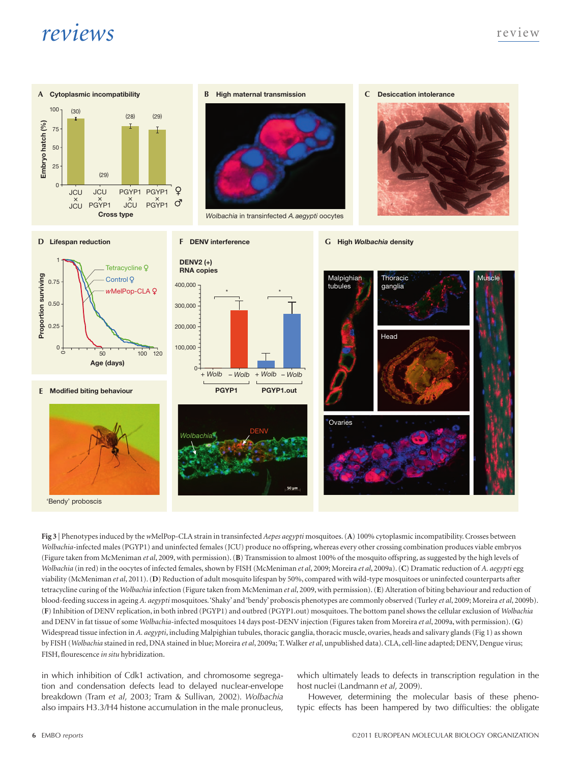

**Fig 3** | Phenotypes induced by the *w*MelPop-CLA strain in transinfected *Aepes aegypti* mosquitoes. (**A**) 100% cytoplasmic incompatibility. Crosses between *Wolbachia*-infected males (PGYP1) and uninfected females (JCU) produce no offspring, whereas every other crossing combination produces viable embryos (Figure taken from McMeniman *et al*, 2009, with permission). (**B**) Transmission to almost 100% of the mosquito offspring, as suggested by the high levels of *Wolbachia* (in red) in the oocytes of infected females, shown by FISH (McMeniman *et al*, 2009; Moreira *et al*, 2009a). (**C**) Dramatic reduction of *A. aegypti* egg viability (McMeniman *et al*, 2011). (**D**) Reduction of adult mosquito lifespan by 50%, compared with wild-type mosquitoes or uninfected counterparts after tetracycline curing of the *Wolbachia* infection (Figure taken from McMeniman *et al*, 2009, with permission). (**E**) Alteration of biting behaviour and reduction of blood-feeding success in ageing *A. aegypti* mosquitoes. 'Shaky' and 'bendy' proboscis phenotypes are commonly observed (Turley *et al*, 2009; Moreira *et al*, 2009b). (**F**) Inhibition of DENV replication, in both inbred (PGYP1) and outbred (PGYP1.out) mosquitoes. The bottom panel shows the cellular exclusion of *Wolbachia* and DENV in fat tissue of some *Wolbachia*-infected mosquitoes 14 days post-DENV injection (Figures taken from Moreira *et al*, 2009a, with permission). (**G**) Widespread tissue infection in *A. aegypti*, including Malpighian tubules, thoracic ganglia, thoracic muscle, ovaries, heads and salivary glands (Fig 1) as shown by FISH (*Wolbachia* stained in red, DNA stained in blue; Moreira *et al*, 2009a; T. Walker *et al*, unpublished data). CLA, cell-line adapted; DENV, Dengue virus; FISH, flourescence *in situ* hybridization.

in which inhibition of Cdk1 activation, and chromosome segregation and condensation defects lead to delayed nuclear-envelope breakdown (Tram *et al*, 2003; Tram & Sullivan, 2002). *Wolbachia* also impairs H3.3/H4 histone accumulation in the male pronucleus,

which ultimately leads to defects in transcription regulation in the host nuclei (Landmann *et al*, 2009).

However, determining the molecular basis of these phenotypic effects has been hampered by two difficulties: the obligate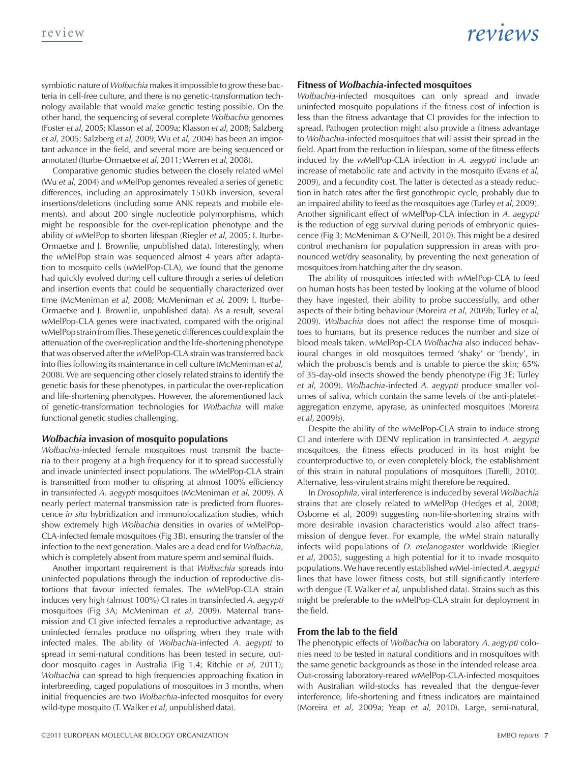symbiotic nature of *Wolbachia* makes it impossible to grow these bacteria in cell-free culture, and there is no genetic-transformation technology available that would make genetic testing possible. On the other hand, the sequencing of several complete *Wolbachia* genomes (Foster *et al*, 2005; Klasson *et al*, 2009a; Klasson *et al*, 2008; Salzberg *et al*, 2005; Salzberg *et al*, 2009; Wu *et al*, 2004) has been an important advance in the field, and several more are being sequenced or annotated (Iturbe-Ormaetxe *et al*, 2011; Werren *et al*, 2008).

Comparative genomic studies between the closely related *w*Mel (Wu *et al*, 2004) and *w*MelPop genomes revealed a series of genetic differences, including an approximately 150Kb inversion, several insertions/deletions (including some ANK repeats and mobile elements), and about 200 single nucleotide polymorphisms, which might be responsible for the over-replication phenotype and the ability of *w*MelPop to shorten lifespan (Riegler *et al*, 2005; I. Iturbe-Ormaetxe and J. Brownlie, unpublished data). Interestingly, when the *w*MelPop strain was sequenced almost 4 years after adaptation to mosquito cells (*w*MelPop-CLA), we found that the genome had quickly evolved during cell culture through a series of deletion and insertion events that could be sequentially characterized over time (McMeniman *et al*, 2008; McMeniman *et al*, 2009; I. Iturbe-Ormaetxe and J. Brownlie, unpublished data). As a result, several *w*MelPop-CLA genes were inactivated, compared with the original *w*MelPop strain from flies. These genetic differences could explain the attenuation of the over-replication and the life-shortening phenotype that was observed after the *w*MelPop-CLA strain was transferred back into flies following its maintenance in cell culture (McMeniman *et al*, 2008). We are sequencing other closely related strains to identify the genetic basis for these phenotypes, in particular the over-replication and life-shortening phenotypes. However, the aforementioned lack of genetic-transformation technologies for *Wolbachia* will make functional genetic studies challenging.

### *Wolbachia* **invasion of mosquito populations**

*Wolbachia*-infected female mosquitoes must transmit the bacteria to their progeny at a high frequency for it to spread successfully and invade uninfected insect populations. The *w*MelPop-CLA strain is transmitted from mother to offspring at almost 100% efficiency in transinfected *A*. *aegypti* mosquitoes (McMeniman *et al*, 2009). A nearly perfect maternal transmission rate is predicted from fluorescence *in situ* hybridization and immunolocalization studies, which show extremely high *Wolbachia* densities in ovaries of *w*MelPop-CLA-infected female mosquitoes (Fig 3B), ensuring the transfer of the infection to the next generation. Males are a dead end for *Wolbachia*, which is completely absent from mature sperm and seminal fluids.

Another important requirement is that *Wolbachia* spreads into uninfected populations through the induction of reproductive distortions that favour infected females. The *w*MelPop-CLA strain induces very high (almost 100%) CI rates in transinfected *A*. *aegypti* mosquitoes (Fig 3A; McMeniman *et al*, 2009). Maternal transmission and CI give infected females a reproductive advantage, as uninfected females produce no offspring when they mate with infected males. The ability of *Wolbachia*-infected *A*. *aegypti* to spread in semi-natural conditions has been tested in secure, outdoor mosquito cages in Australia (Fig 1.4; Ritchie *et al*, 2011); *Wolbachia* can spread to high frequencies approaching fixation in interbreeding, caged populations of mosquitoes in 3 months, when initial frequencies are two *Wolbachia*-infected mosquitos for every wild-type mosquito (T. Walker *et al*, unpublished data).

### **Fitness of** *Wolbachia***-infected mosquitoes**

*Wolbachia*-infected mosquitoes can only spread and invade uninfected mosquito populations if the fitness cost of infection is less than the fitness advantage that CI provides for the infection to spread. Pathogen protection might also provide a fitness advantage to *Wolbachia*-infected mosquitoes that will assist their spread in the field. Apart from the reduction in lifespan, some of the fitness effects induced by the *w*MelPop-CLA infection in *A. aegypti* include an increase of metabolic rate and activity in the mosquito (Evans *et al*, 2009), and a fecundity cost. The latter is detected as a steady reduction in hatch rates after the first gonothropic cycle, probably due to an impaired ability to feed as the mosquitoes age (Turley *et al*, 2009). Another significant effect of *w*MelPop-CLA infection in *A. aegypti* is the reduction of egg survival during periods of embryonic quiescence (Fig 3; McMeniman & O'Neill, 2010). This might be a desired control mechanism for population suppression in areas with pronounced wet/dry seasonality, by preventing the next generation of mosquitoes from hatching after the dry season.

The ability of mosquitoes infected with *w*MelPop-CLA to feed on human hosts has been tested by looking at the volume of blood they have ingested, their ability to probe successfully, and other aspects of their biting behaviour (Moreira *et al*, 2009b; Turley *et al*, 2009). *Wolbachia* does not affect the response time of mosquitoes to humans, but its presence reduces the number and size of blood meals taken. *w*MelPop-CLA *Wolbachia* also induced behavioural changes in old mosquitoes termed 'shaky' or 'bendy', in which the proboscis bends and is unable to pierce the skin; 65% of 35-day-old insects showed the bendy phenotype (Fig 3E; Turley *et al*, 2009). *Wolbachia*-infected *A. aegypti* produce smaller volumes of saliva, which contain the same levels of the anti-plateletaggregation enzyme, apyrase, as uninfected mosquitoes (Moreira *et al*, 2009b).

Despite the ability of the *w*MelPop-CLA strain to induce strong CI and interfere with DENV replication in transinfected *A. aegypti* mosquitoes, the fitness effects produced in its host might be counterproductive to, or even completely block, the establishment of this strain in natural populations of mosquitoes (Turelli, 2010). Alternative, less-virulent strains might therefore be required.

In *Drosophila*, viral interference is induced by several *Wolbachia* strains that are closely related to *w*MelPop (Hedges et al, 2008; Osborne et al, 2009) suggesting non-life-shortening strains with more desirable invasion characteristics would also affect transmission of dengue fever. For example, the *w*Mel strain naturally infects wild populations of *D. melanogaster* worldwide (Riegler *et al*, 2005), suggesting a high potential for it to invade mosquito populations. We have recently established *w*Mel-infected *A. aegypti* lines that have lower fitness costs, but still significantly interfere with dengue (T. Walker *et al*, unpublished data). Strains such as this might be preferable to the *w*MelPop-CLA strain for deployment in the field.

### **From the lab to the field**

The phenotypic effects of *Wolbachia* on laboratory *A. aegypti* colonies need to be tested in natural conditions and in mosquitoes with the same genetic backgrounds as those in the intended release area. Out-crossing laboratory-reared *w*MelPop-CLA-infected mosquitoes with Australian wild-stocks has revealed that the dengue-fever interference, life-shortening and fitness indicators are maintained (Moreira *et al*, 2009a; Yeap *et al*, 2010). Large, semi-natural,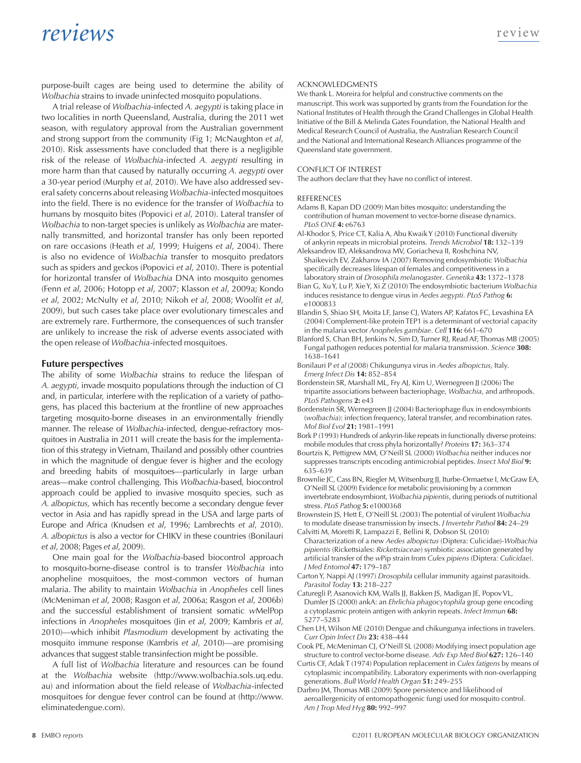purpose-built cages are being used to determine the ability of *Wolbachia* strains to invade uninfected mosquito populations.

A trial release of *Wolbachia*-infected *A. aegypti* is taking place in two localities in north Queensland, Australia, during the 2011 wet season, with regulatory approval from the Australian government and strong support from the community (Fig 1; McNaughton *et al*, 2010). Risk assessments have concluded that there is a negligible risk of the release of *Wolbachia*-infected *A. aegypti* resulting in more harm than that caused by naturally occurring *A. aegypti* over a 30-year period (Murphy *et al*, 2010). We have also addressed several safety concerns about releasing *Wolbachia*-infected mosquitoes into the field. There is no evidence for the transfer of *Wolbachia* to humans by mosquito bites (Popovici *et al*, 2010). Lateral transfer of *Wolbachia* to non-target species is unlikely as *Wolbachia* are maternally transmitted, and horizontal transfer has only been reported on rare occasions (Heath *et al*, 1999; Huigens *et al*, 2004). There is also no evidence of *Wolbachia* transfer to mosquito predators such as spiders and geckos (Popovici *et al*, 2010). There is potential for horizontal transfer of *Wolbachia* DNA into mosquito genomes (Fenn *et al*, 2006; Hotopp *et al*, 2007; Klasson *et al*, 2009a; Kondo *et al*, 2002; McNulty *et al*, 2010; Nikoh *et al*, 2008; Woolfit *et al*, 2009), but such cases take place over evolutionary timescales and are extremely rare. Furthermore, the consequences of such transfer are unlikely to increase the risk of adverse events associated with the open release of *Wolbachia*-infected mosquitoes.

### **Future perspectives**

The ability of some *Wolbachia* strains to reduce the lifespan of *A. aegypti*, invade mosquito populations through the induction of CI and, in particular, interfere with the replication of a variety of pathogens, has placed this bacterium at the frontline of new approaches targeting mosquito-borne diseases in an environmentally friendly manner. The release of *Wolbachia*-infected, dengue-refractory mosquitoes in Australia in 2011 will create the basis for the implementation of this strategy in Vietnam, Thailand and possibly other countries in which the magnitude of dengue fever is higher and the ecology and breeding habits of mosquitoes—particularly in large urban areas—make control challenging. This *Wolbachia*-based, biocontrol approach could be applied to invasive mosquito species, such as *A. albopictus,* which has recently become a secondary dengue fever vector in Asia and has rapidly spread in the USA and large parts of Europe and Africa (Knudsen *et al*, 1996; Lambrechts *et al*, 2010). *A. albopictus* is also a vector for CHIKV in these countries (Bonilauri *et al*, 2008; Pages *et al*, 2009).

One main goal for the *Wolbachia*-based biocontrol approach to mosquito-borne-disease control is to transfer *Wolbachia* into anopheline mosquitoes, the most-common vectors of human malaria. The ability to maintain *Wolbachia* in *Anopheles* cell lines (McMeniman *et al*, 2008; Rasgon *et al*, 2006a; Rasgon *et al*, 2006b) and the successful establishment of transient somatic *w*MelPop infections in *Anopheles* mosquitoes (Jin *et al*, 2009; Kambris *et al*, 2010)—which inhibit *Plasmodium* development by activating the mosquito immune response (Kambris *et al*, 2010)—are promising advances that suggest stable transinfection might be possible.

A full list of *Wolbachia* literature and resources can be found at the *Wolbachia* website [\(http://www.wolbachia.sols.uq.edu.](http://www.wolbachia.sols.uq.edu.au) [au\)](http://www.wolbachia.sols.uq.edu.au) and information about the field release of *Wolbachia*-infected mosquitoes for dengue fever control can be found at ([http://www.](http://www.eliminatedengue.com) [eliminatedengue.com\)](http://www.eliminatedengue.com).

#### Acknowledgments

We thank L. Moreira for helpful and constructive comments on the manuscript. This work was supported by grants from the Foundation for the National Institutes of Health through the Grand Challenges in Global Health Initiative of the Bill & Melinda Gates Foundation, the National Health and Medical Research Council of Australia, the Australian Research Council and the National and International Research Alliances programme of the Queensland state government.

#### Conflict of Interest

The authors declare that they have no conflict of interest.

#### **REFERENCES**

- Adams B, Kapan DD (2009) Man bites mosquito: understanding the contribution of human movement to vector-borne disease dynamics. *PLoS ONE* **4:** e6763
- Al-Khodor S, Price CT, Kalia A, Abu Kwaik Y (2010) Functional diversity of ankyrin repeats in microbial proteins. *Trends Microbiol* **18:** 132–139
- Aleksandrov ID, Aleksandrova MV, Goriacheva II, Roshchina NV, Shaikevich EV, Zakharov IA (2007) Removing endosymbiotic *Wolbachia* specifically decreases lifespan of females and competitiveness in a laboratory strain of *Drosophila melanogaster*. *Genetika* **43:** 1372–1378
- Bian G, Xu Y, Lu P, Xie Y, Xi Z (2010) The endosymbiotic bacterium *Wolbachia* induces resistance to dengue virus in *Aedes aegypti*. *PLoS Pathog* **6:** e1000833
- Blandin S, Shiao SH, Moita LF, Janse CJ, Waters AP, Kafatos FC, Levashina EA (2004) Complement-like protein TEP1 is a determinant of vectorial capacity in the malaria vector *Anopheles gambiae*. *Cell* **116:** 661–670
- Blanford S, Chan BH, Jenkins N, Sim D, Turner RJ, Read AF, Thomas MB (2005) Fungal pathogen reduces potential for malaria transmission. *Science* **308:** 1638–1641
- Bonilauri P *et al* (2008) Chikungunya virus in *Aedes albopictus*, Italy. *Emerg Infect Dis* **14:** 852–854
- Bordenstein SR, Marshall ML, Fry AJ, Kim U, Wernegreen JJ (2006) The tripartite associations between bacteriophage, *Wolbachia*, and arthropods. *PLoS Pathogens* **2:** e43
- Bordenstein SR, Wernegreen JJ (2004) Bacteriophage flux in endosymbionts (*wolbachia*): infection frequency, lateral transfer, and recombination rates. *Mol Biol Evol* **21:** 1981–1991
- Bork P (1993) Hundreds of ankyrin-like repeats in functionally diverse proteins: mobile modules that cross phyla horizontally? *Proteins* **17:** 363–374
- Bourtzis K, Pettigrew MM, O'Neill SL (2000) *Wolbachia* neither induces nor suppresses transcripts encoding antimicrobial peptides. *Insect Mol Biol* **9:** 635–639
- Brownlie JC, Cass BN, Riegler M, Witsenburg JJ, Iturbe-Ormaetxe I, McGraw EA, O'Neill SL (2009) Evidence for metabolic provisioning by a common invertebrate endosymbiont, *Wolbachia pipientis*, during periods of nutritional stress. *PLoS Pathog* **5:** e1000368
- Brownstein JS, Hett E, O'Neill SL (2003) The potential of virulent *Wolbachia* to modulate disease transmission by insects. *J Invertebr Pathol* **84:** 24–29
- Calvitti M, Moretti R, Lampazzi E, Bellini R, Dobson SL (2010) Characterization of a new *Aedes albopictus* (Diptera: Culicidae)-*Wolbachia pipientis* (Rickettsiales: *Rickettsiaceae*) symbiotic association generated by artificial transfer of the *w*Pip strain from *Culex pipiens* (Diptera: *Culicidae*). *J Med Entomol* **47:** 179–187
- Carton Y, Nappi AJ (1997) *Drosophila* cellular immunity against parasitoids. *Parasitol Today* **13:** 218–227
- Caturegli P, Asanovich KM, Walls JJ, Bakken JS, Madigan JE, Popov VL, Dumler JS (2000) ankA: an *Ehrlichia phagocytophila* group gene encoding a cytoplasmic protein antigen with ankyrin repeats. *Infect Immun* **68:** 5277–5283
- Chen LH, Wilson ME (2010) Dengue and chikungunya infections in travelers. *Curr Opin Infect Dis* **23:** 438–444
- Cook PE, McMeniman CJ, O'Neill SL (2008) Modifying insect population age structure to control vector-borne disease. *Adv Exp Med Biol* **627:** 126–140
- Curtis CF, Adak T (1974) Population replacement in *Culex fatigens* by means of cytoplasmic incompatibility. Laboratory experiments with non-overlapping generations. *Bull World Health Organ* **51:** 249–255
- Darbro JM, Thomas MB (2009) Spore persistence and likelihood of aeroallergenicity of entomopathogenic fungi used for mosquito control. *Am J Trop Med Hyg* **80:** 992–997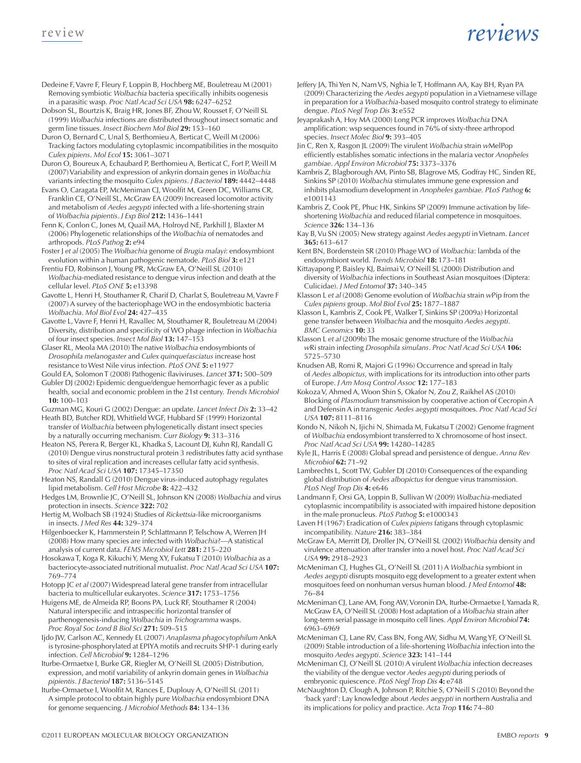- Dedeine F, Vavre F, Fleury F, Loppin B, Hochberg ME, Bouletreau M (2001) Removing symbiotic *Wolbachia* bacteria specifically inhibits oogenesis in a parasitic wasp. *Proc Natl Acad Sci USA* **98:** 6247–6252
- Dobson SL, Bourtzis K, Braig HR, Jones BF, Zhou W, Rousset F, O'Neill SL (1999) *Wolbachia* infections are distributed throughout insect somatic and germ line tissues. *Insect Biochem Mol Biol* **29:** 153–160
- Duron O, Bernard C, Unal S, Berthomieu A, Berticat C, Weill M (2006) Tracking factors modulating cytoplasmic incompatibilities in the mosquito *Culex pipiens*. *Mol Ecol* **15:** 3061–3071
- Duron O, Boureux A, Echaubard P, Berthomieu A, Berticat C, Fort P, Weill M (2007) Variability and expression of ankyrin domain genes in *Wolbachia* variants infecting the mosquito *Culex pipiens*. *J Bacteriol* **189:** 4442–4448
- Evans O, Caragata EP, McMeniman CJ, Woolfit M, Green DC, Williams CR, Franklin CE, O'Neill SL, McGraw EA (2009) Increased locomotor activity and metabolism of *Aedes aegypti* infected with a life-shortening strain of *Wolbachia pipientis*. *J Exp Biol* **212:** 1436–1441
- Fenn K, Conlon C, Jones M, Quail MA, Holroyd NE, Parkhill J, Blaxter M (2006) Phylogenetic relationships of the *Wolbachia* of nematodes and arthropods. *PLoS Pathog* **2:** e94
- Foster J *et al* (2005) The *Wolbachia* genome of *Brugia malayi*: endosymbiont evolution within a human pathogenic nematode. *PLoS Biol* **3:** e121
- Frentiu FD, Robinson J, Young PR, McGraw EA, O'Neill SL (2010) *Wolbachia*-mediated resistance to dengue virus infection and death at the cellular level. *PLoS ONE* **5:** e13398
- Gavotte L, Henri H, Stouthamer R, Charif D, Charlat S, Bouletreau M, Vavre F (2007) A survey of the bacteriophage WO in the endosymbiotic bacteria *Wolbachia*. *Mol Biol Evol* **24:** 427–435
- Gavotte L, Vavre F, Henri H, Ravallec M, Stouthamer R, Bouletreau M (2004) Diversity, distribution and specificity of WO phage infection in *Wolbachia* of four insect species. *Insect Mol Biol* **13:** 147–153
- Glaser RL, Meola MA (2010) The native *Wolbachia* endosymbionts of *Drosophila melanogaster* and *Culex quinquefasciatus* increase host resistance to West Nile virus infection. *PLoS ONE* **5:** e11977
- Gould EA, Solomon T (2008) Pathogenic flaviviruses. *Lancet* **371:** 500–509 Gubler DJ (2002) Epidemic dengue/dengue hemorrhagic fever as a public health, social and economic problem in the 21st century. *Trends Microbiol* **10:** 100–103
- Guzman MG, Kouri G (2002) Dengue: an update. *Lancet Infect Dis* **2:** 33–42 Heath BD, Butcher RDJ, Whitfield WGF, Hubbard SF (1999) Horizontal
- transfer of *Wolbachia* between phylogenetically distant insect species by a naturally occurring mechanism. *Curr Biology* **9:** 313–316
- Heaton NS, Perera R, Berger KL, Khadka S, Lacount DJ, Kuhn RJ, Randall G (2010) Dengue virus nonstructural protein 3 redistributes fatty acid synthase to sites of viral replication and increases cellular fatty acid synthesis. *Proc Natl Acad Sci USA* **107:** 17345–17350
- Heaton NS, Randall G (2010) Dengue virus-induced autophagy regulates lipid metabolism. *Cell Host Microbe* **8:** 422–432
- Hedges LM, Brownlie JC, O'Neill SL, Johnson KN (2008) *Wolbachia* and virus protection in insects. *Science* **322:** 702
- Hertig M, Wolbach SB (1924) Studies of *Rickettsia*-like microorganisms in insects. *J Med Res* **44:** 329–374
- Hilgenboecker K, Hammerstein P, Schlattmann P, Telschow A, Werren JH (2008) How many species are infected with *Wolbachia*?—A statistical analysis of current data. *FEMS Microbiol Lett* **281:** 215–220
- Hosokawa T, Koga R, Kikuchi Y, Meng XY, Fukatsu T (2010) *Wolbachia* as a bacteriocyte-associated nutritional mutualist. *Proc Natl Acad Sci USA* **107:** 769–774
- Hotopp JC *et al* (2007) Widespread lateral gene transfer from intracellular bacteria to multicellular eukaryotes. *Science* **317:** 1753–1756
- Huigens ME, de Almeida RP, Boons PA, Luck RF, Stouthamer R (2004) Natural interspecific and intraspecific horizontal transfer of parthenogenesis-inducing *Wolbachia* in *Trichogramma* wasps. *Proc Royal Soc Lond B Biol Sci* **271:** 509–515
- Ijdo JW, Carlson AC, Kennedy EL (2007) *Anaplasma phagocytophilum* AnkA is tyrosine-phosphorylated at EPIYA motifs and recruits SHP-1 during early infection. *Cell Microbiol* **9:** 1284–1296
- Iturbe-Ormaetxe I, Burke GR, Riegler M, O'Neill SL (2005) Distribution, expression, and motif variability of ankyrin domain genes in *Wolbachia pipientis*. *J Bacteriol* **187:** 5136–5145
- Iturbe-Ormaetxe I, Woolfit M, Rances E, Duplouy A, O'Neill SL (2011) A simple protocol to obtain highly pure *Wolbachia* endosymbiont DNA for genome sequencing. *J Microbiol Methods* **84:** 134–136
- Jeffery JA, Thi Yen N, Nam VS, Nghia le T, Hoffmann AA, Kay BH, Ryan PA (2009) Characterizing the *Aedes aegypti* population in a Vietnamese village in preparation for a *Wolbachia*-based mosquito control strategy to eliminate dengue. *PLoS Negl Trop Dis* **3:** e552
- Jeyaprakash A, Hoy MA (2000) Long PCR improves *Wolbachia* DNA amplification: wsp sequences found in 76% of sixty-three arthropod species. *Insect Molec Biol* **9:** 393–405
- Jin C, Ren X, Rasgon JL (2009) The virulent *Wolbachia* strain *w*MelPop efficiently establishes somatic infections in the malaria vector *Anopheles gambiae*. *Appl Environ Microbiol* **75:** 3373–3376
- Kambris Z, Blagborough AM, Pinto SB, Blagrove MS, Godfray HC, Sinden RE, Sinkins SP (2010) *Wolbachia* stimulates immune gene expression and inhibits plasmodium development in *Anopheles gambiae*. *PLoS Pathog* **6:** e1001143
- Kambris Z, Cook PE, Phuc HK, Sinkins SP (2009) Immune activation by lifeshortening *Wolbachia* and reduced filarial competence in mosquitoes. *Science* **326:** 134–136
- Kay B, Vu SN (2005) New strategy against *Aedes aegypti* in Vietnam. *Lancet* **365:** 613–617
- Kent BN, Bordenstein SR (2010) Phage WO of *Wolbachia*: lambda of the endosymbiont world. *Trends Microbiol* **18:** 173–181
- Kittayapong P, Baisley KJ, Baimai V, O'Neill SL (2000) Distribution and diversity of *Wolbachia* infections in Southeast Asian mosquitoes (Diptera: Culicidae). *J Med Entomol* **37:** 340–345
- Klasson L *et al* (2008) Genome evolution of *Wolbachia* strain *w*Pip from the *Culex pipiens* group. *Mol Biol Evol* **25:** 1877–1887
- Klasson L, Kambris Z, Cook PE, Walker T, Sinkins SP (2009a) Horizontal gene transfer between *Wolbachia* and the mosquito *Aedes aegypti*. *BMC Genomics* **10:** 33
- Klasson L *et al* (2009b) The mosaic genome structure of the *Wolbachia w*Ri strain infecting *Drosophila simulans*. *Proc Natl Acad Sci USA* **106:** 5725–5730
- Knudsen AB, Romi R, Majori G (1996) Occurrence and spread in Italy of *Aedes albopictus*, with implications for its introduction into other parts of Europe. *J Am Mosq Control Assoc* **12:** 177–183
- Kokoza V, Ahmed A, Woon Shin S, Okafor N, Zou Z, Raikhel AS (2010) Blocking of *Plasmodium* transmission by cooperative action of Cecropin A and Defensin A in transgenic *Aedes aegypti* mosquitoes. *Proc Natl Acad Sci USA* **107:** 8111–8116
- Kondo N, Nikoh N, Ijichi N, Shimada M, Fukatsu T (2002) Genome fragment of *Wolbachia* endosymbiont transferred to X chromosome of host insect. *Proc Natl Acad Sci USA* **99:** 14280–14285
- Kyle JL, Harris E (2008) Global spread and persistence of dengue. *Annu Rev Microbiol* **62:** 71–92
- Lambrechts L, Scott TW, Gubler DJ (2010) Consequences of the expanding global distribution of *Aedes albopictus* for dengue virus transmission. *PLoS Negl Trop Dis* **4:** e646
- Landmann F, Orsi GA, Loppin B, Sullivan W (2009) *Wolbachia*-mediated cytoplasmic incompatibility is associated with impaired histone deposition in the male pronucleus. *PLoS Pathog* **5:** e1000343
- Laven H (1967) Eradication of *Culex pipiens* fatigans through cytoplasmic incompatibility. *Nature* **216:** 383–384
- McGraw EA, Merritt DJ, Droller JN, O'Neill SL (2002) *Wolbachia* density and virulence attenuation after transfer into a novel host. *Proc Natl Acad Sci USA* **99:** 2918–2923
- McMeniman CJ, Hughes GL, O'Neill SL (2011) A *Wolbachia* symbiont in *Aedes aegypti* disrupts mosquito egg development to a greater extent when mosquitoes feed on nonhuman versus human blood. *J Med Entomol* **48:** 76–84
- McMeniman CJ, Lane AM, Fong AW, Voronin DA, Iturbe-Ormaetxe I, Yamada R, McGraw EA, O'Neill SL (2008) Host adaptation of a *Wolbachia* strain after long-term serial passage in mosquito cell lines. *Appl Environ Microbiol* **74:** 6963–6969
- McMeniman CJ, Lane RV, Cass BN, Fong AW, Sidhu M, Wang YF, O'Neill SL (2009) Stable introduction of a life-shortening *Wolbachia* infection into the mosquito *Aedes aegypti*. *Science* **323:** 141–144
- McMeniman CJ, O'Neill SL (2010) A virulent *Wolbachia* infection decreases the viability of the dengue vector *Aedes aegypti* during periods of embryonic quiescence. *PLoS Negl Trop Dis* **4:** e748
- McNaughton D, Clough A, Johnson P, Ritchie S, O'Neill S (2010) Beyond the 'back yard': Lay knowledge about *Aedes aegypti* in northern Australia and its implications for policy and practice. *Acta Trop* **116:** 74–80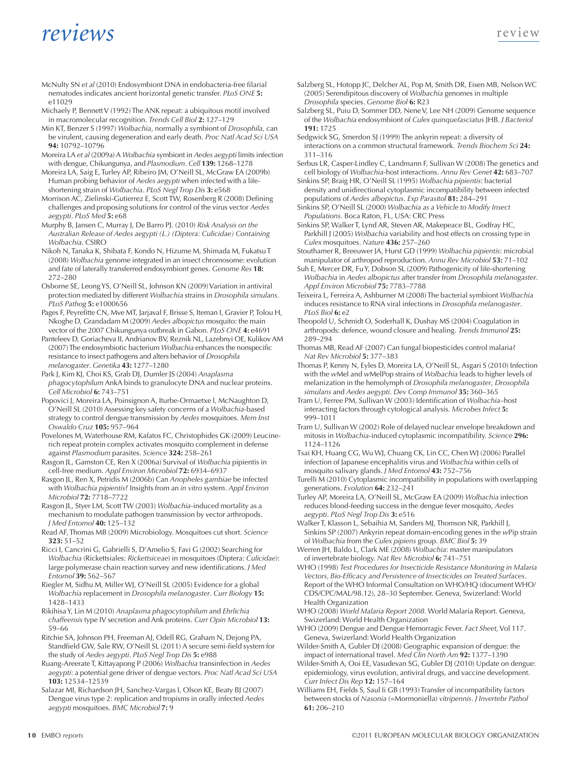- McNulty SN *et al* (2010) Endosymbiont DNA in endobacteria-free filarial nematodes indicates ancient horizontal genetic transfer. *PLoS ONE* **5:** e11029
- Michaely P, Bennett V (1992) The ANK repeat: a ubiquitous motif involved in macromolecular recognition. *Trends Cell Biol* **2:** 127–129
- Min KT, Benzer S (1997) *Wolbachia*, normally a symbiont of *Drosophila*, can be virulent, causing degeneration and early death. *Proc Natl Acad Sci USA* **94:** 10792–10796
- Moreira LA *et al* (2009a) A *Wolbachia* symbiont in *Aedes aegypti* limits infection with dengue, Chikungunya, and *Plasmodium*. *Cell* **139:** 1268–1278
- Moreira LA, Saig E, Turley AP, Ribeiro JM, O'Neill SL, McGraw EA (2009b) Human probing behavior of *Aedes aegypti* when infected with a lifeshortening strain of *Wolbachia*. *PLoS Negl Trop Dis* **3:** e568
- Morrison AC, Zielinski-Gutierrez E, Scott TW, Rosenberg R (2008) Defining challenges and proposing solutions for control of the virus vector *Aedes aegypti*. *PLoS Med* **5:** e68
- Murphy B, Jansen C, Murray J, De Barro PJ. (2010) *Risk Analysis on the Australian Release of Aedes aegypti (L.) (Diptera: Culicidae) Containing Wolbachia*. CSIRO
- Nikoh N, Tanaka K, Shibata F, Kondo N, Hizume M, Shimada M, Fukatsu T (2008) *Wolbachia* genome integrated in an insect chromosome: evolution and fate of laterally transferred endosymbiont genes. *Genome Res* **18:** 272–280
- Osborne SE, Leong YS, O'Neill SL, Johnson KN (2009) Variation in antiviral protection mediated by different *Wolbachia* strains in *Drosophila simulans*. *PLoS Pathog* **5:** e1000656
- Pages F, Peyrefitte CN, Mve MT, Jarjaval F, Brisse S, Iteman I, Gravier P, Tolou H, Nkoghe D, Grandadam M (2009) *Aedes albopictus* mosquito: the main vector of the 2007 Chikungunya outbreak in Gabon. *PLoS ONE* **4:** e4691
- Panteleev D, Goriacheva II, Andrianov BV, Reznik NL, Lazebnyi OE, Kulikov AM (2007) The endosymbiotic bacterium *Wolbachia* enhances the nonspecific resistance to insect pathogens and alters behavior of *Drosophila melanogaster*. *Genetika* **43:** 1277–1280
- Park J, Kim KJ, Choi KS, Grab DJ, Dumler JS (2004) *Anaplasma phagocytophilum* AnkA binds to granulocyte DNA and nuclear proteins. *Cell Microbiol* **6:** 743–751
- Popovici J, Moreira LA, Poinsignon A, Iturbe-Ormaetxe I, McNaughton D, O'Neill SL (2010) Assessing key safety concerns of a *Wolbachia*-based strategy to control dengue transmission by *Aedes* mosquitoes. *Mem Inst Oswaldo Cruz* **105:** 957–964
- Povelones M, Waterhouse RM, Kafatos FC, Christophides GK (2009) Leucinerich repeat protein complex activates mosquito complement in defense against *Plasmodium* parasites. *Science* **324:** 258–261
- Rasgon JL, Gamston CE, Ren X (2006a) Survival of *Wolbachia* pipientis in cell-free medium. *Appl Environ Microbiol* **72:** 6934–6937
- Rasgon JL, Ren X, Petridis M (2006b) Can *Anopheles gambiae* be infected with *Wolbachia pipientis*? Insights from an *in vitro* system. *Appl Environ Microbiol* **72:** 7718–7722
- Rasgon JL, Styer LM, Scott TW (2003) *Wolbachia*-induced mortality as a mechanism to modulate pathogen transmission by vector arthropods. *J Med Entomol* **40:** 125–132
- Read AF, Thomas MB (2009) Microbiology. Mosquitoes cut short. *Science* **323:** 51–52
- Ricci I, Cancrini G, Gabrielli S, D'Amelio S, Favi G (2002) Searching for *Wolbachia* (Rickettsiales: *Rickettsiceae*) in mosquitoes (Diptera: *Culicidae*): large polymerase chain reaction survey and new identifications. *J Med Entomol* **39:** 562–567
- Riegler M, Sidhu M, Miller WJ, O'Neill SL (2005) Evidence for a global *Wolbachia* replacement in *Drosophila melanogaster*. *Curr Biology* **15:** 1428–1433
- Rikihisa Y, Lin M (2010) *Anaplasma phagocytophilum* and *Ehrlichia chaffeensis* type IV secretion and Ank proteins. *Curr Opin Microbiol* **13:** 59–66
- Ritchie SA, Johnson PH, Freeman AJ, Odell RG, Graham N, Dejong PA, Standfield GW, Sale RW, O'Neill SL (2011) A secure semi-field system for the study of *Aedes aegypti*. *PLoS Negl Trop Dis* **5:** e988
- Ruang-Areerate T, Kittayapong P (2006) *Wolbachia* transinfection in *Aedes aegypti*: a potential gene driver of dengue vectors. *Proc Natl Acad Sci USA*  **103:** 12534–12539
- Salazar MI, Richardson JH, Sanchez-Vargas I, Olson KE, Beaty BJ (2007) Dengue virus type 2: replication and tropisms in orally infected *Aedes aegypti* mosquitoes. *BMC Microbiol* **7:** 9
- Salzberg SL, Hotopp JC, Delcher AL, Pop M, Smith DR, Eisen MB, Nelson WC (2005) Serendipitous discovery of *Wolbachia* genomes in multiple *Drosophila* species. *Genome Biol* **6:** R23
- Salzberg SL, Puiu D, Sommer DD, Nene V, Lee NH (2009) Genome sequence of the *Wolbachia* endosymbiont of *Culex quinquefasciatus* JHB. *J Bacteriol* **191:** 1725
- Sedgwick SG, Smerdon SJ (1999) The ankyrin repeat: a diversity of interactions on a common structural framework. *Trends Biochem Sci* **24:** 311–316
- Serbus LR, Casper-Lindley C, Landmann F, Sullivan W (2008) The genetics and cell biology of *Wolbachia*-host interactions. *Annu Rev Genet* **42:** 683–707
- Sinkins SP, Braig HR, O'Neill SL (1995) *Wolbachia pipientis*: bacterial density and unidirectional cytoplasmic incompatibility between infected populations of *Aedes albopictus*. *Exp Parasitol* **81:** 284–291
- Sinkins SP, O'Neill SL (2000) *Wolbachia as a Vehicle to Modify Insect Populations.* Boca Raton, FL, USA: CRC Press
- Sinkins SP, Walker T, Lynd AR, Steven AR, Makepeace BL, Godfray HC, Parkhill J (2005) *Wolbachia* variability and host effects on crossing type in *Culex* mosquitoes. *Nature* **436:** 257–260
- Stouthamer R, Breeuwer JA, Hurst GD (1999) *Wolbachia pipientis*: microbial manipulator of arthropod reproduction. *Annu Rev Microbiol* **53:** 71–102
- Suh E, Mercer DR, Fu Y, Dobson SL (2009) Pathogenicity of life-shortening *Wolbachia* in *Aedes albopictus* after transfer from *Drosophila melanogaster*. *Appl Environ Microbiol* **75:** 7783–7788
- Teixeira L, Ferreira A, Ashburner M (2008) The bacterial symbiont *Wolbachia* induces resistance to RNA viral infections in *Drosophila melanogaster*. *PLoS Biol* **6:** e2
- Theopold U, Schmidt O, Soderhall K, Dushay MS (2004) Coagulation in arthropods: defence, wound closure and healing. *Trends Immunol* **25:** 289–294
- Thomas MB, Read AF (2007) Can fungal biopesticides control malaria? *Nat Rev Microbiol* **5:** 377–383
- Thomas P, Kenny N, Eyles D, Moreira LA, O'Neill SL, Asgari S (2010) Infection with the *w*Mel and *w*MelPop strains of *Wolbachia* leads to higher levels of melanization in the hemolymph of *Drosophila melanogaster*, *Drosophila simulans* and *Aedes aegypti*. *Dev Comp Immunol* **35:** 360–365
- Tram U, Ferree PM, Sullivan W (2003) Identification of *Wolbachia*–host interacting factors through cytological analysis. *Microbes Infect* **5:** 999–1011
- Tram U, Sullivan W (2002) Role of delayed nuclear envelope breakdown and mitosis in *Wolbachia*-induced cytoplasmic incompatibility. *Science* **296:** 1124–1126
- Tsai KH, Huang CG, Wu WJ, Chuang CK, Lin CC, Chen WJ (2006) Parallel infection of Japanese encephalitis virus and *Wolbachia* within cells of mosquito salivary glands. *J Med Entomol* **43:** 752–756
- Turelli M (2010) Cytoplasmic incompatibility in populations with overlapping generations. *Evolution* **64:** 232–241
- Turley AP, Moreira LA, O'Neill SL, McGraw EA (2009) *Wolbachia* infection reduces blood-feeding success in the dengue fever mosquito, *Aedes aegypti*. *PLoS Negl Trop Dis* **3:** e516
- Walker T, Klasson L, Sebaihia M, Sanders MJ, Thomson NR, Parkhill J, Sinkins SP (2007) Ankyrin repeat domain-encoding genes in the *w*Pip strain of *Wolbachia* from the *Culex pipiens* group. *BMC Biol* **5:** 39
- Werren JH, Baldo L, Clark ME (2008) *Wolbachia*: master manipulators of invertebrate biology. *Nat Rev Microbiol* **6:** 741–751
- WHO (1998) *Test Procedures for Insecticide Resistance Monitoring in Malaria Vectors, Bio-Efficacy and Persistence of Insecticides on Treated Surfaces*. Report of the WHO Informal Consultation on WHO/HQ (document WHO/ CDS/CPC/MAL/98.12), 28–30 September. Geneva, Swizerland: World Health Organization
- WHO (2008) *World Malaria Report 2008.* World Malaria Report. Geneva, Swizerland: World Health Organization
- WHO (2009) Dengue and Dengue Hemorragic Fever. *Fact Sheet,* Vol 117. Geneva, Swizerland: World Health Organization
- Wilder-Smith A, Gubler DJ (2008) Geographic expansion of dengue: the impact of international travel. *Med Clin North Am* **92:** 1377–1390
- Wilder-Smith A, Ooi EE, Vasudevan SG, Gubler DJ (2010) Update on dengue: epidemiology, virus evolution, antiviral drugs, and vaccine development. *Curr Infect Dis Rep* **12:** 157–164
- Williams EH, Fields S, Saul Ii GB (1993) Transfer of incompatibility factors between stocks of *Nasonia* (=Mormoniella) *vitripennis*. *J Invertebr Pathol* **61:** 206–210